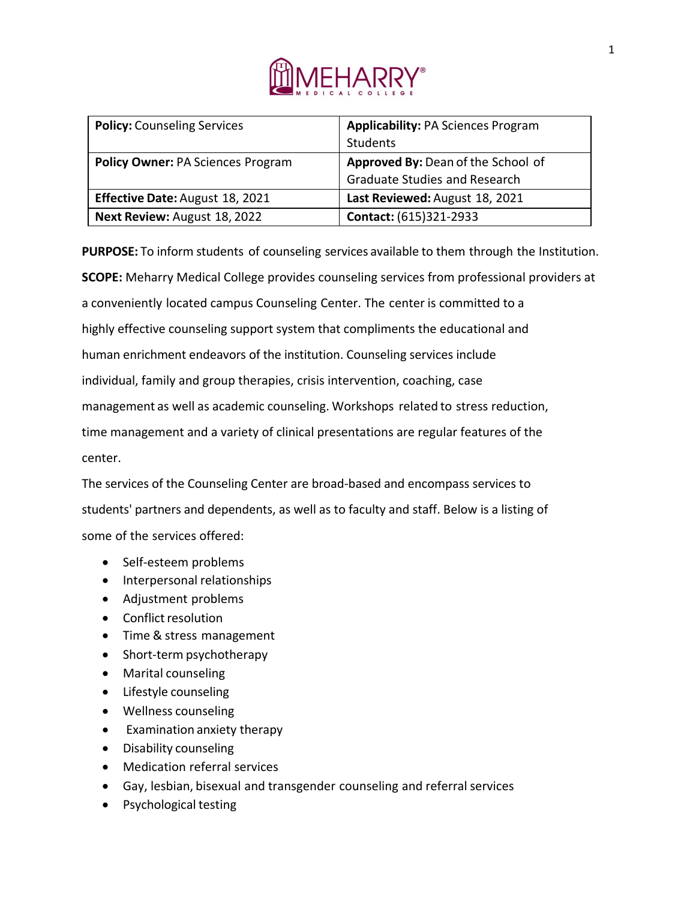

| <b>Policy: Counseling Services</b>       | <b>Applicability: PA Sciences Program</b> |
|------------------------------------------|-------------------------------------------|
|                                          | Students                                  |
| <b>Policy Owner: PA Sciences Program</b> | Approved By: Dean of the School of        |
|                                          | <b>Graduate Studies and Research</b>      |
| <b>Effective Date: August 18, 2021</b>   | Last Reviewed: August 18, 2021            |
| Next Review: August 18, 2022             | Contact: (615)321-2933                    |

**PURPOSE:** To inform students of counseling services available to them through the Institution. **SCOPE:** Meharry Medical College provides counseling services from professional providers at a conveniently located campus Counseling Center. The center is committed to a highly effective counseling support system that compliments the educational and human enrichment endeavors of the institution. Counseling services include individual, family and group therapies, crisis intervention, coaching, case management as well as academic counseling. Workshops related to stress reduction, time management and a variety of clinical presentations are regular features of the center.

The services of the Counseling Center are broad-based and encompass services to students' partners and dependents, as well as to faculty and staff. Below is a listing of some of the services offered:

- Self-esteem problems
- Interpersonal relationships
- Adjustment problems
- Conflict resolution
- Time & stress management
- Short-term psychotherapy
- Marital counseling
- Lifestyle counseling
- Wellness counseling
- Examination anxiety therapy
- Disability counseling
- Medication referral services
- Gay, lesbian, bisexual and transgender counseling and referral services
- Psychological testing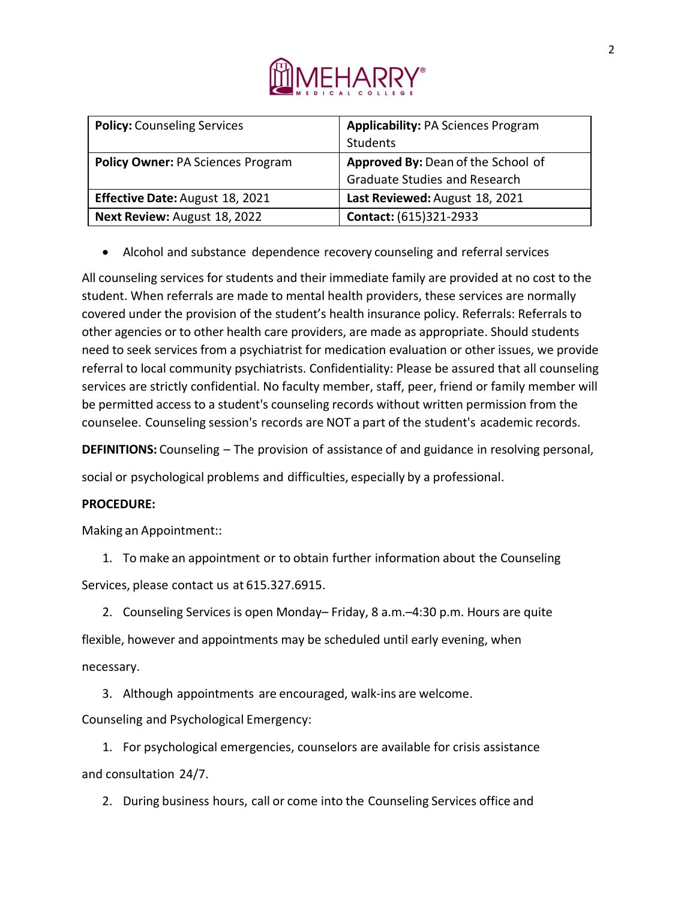

| <b>Policy: Counseling Services</b>       | <b>Applicability: PA Sciences Program</b> |
|------------------------------------------|-------------------------------------------|
|                                          | Students                                  |
| <b>Policy Owner: PA Sciences Program</b> | Approved By: Dean of the School of        |
|                                          | <b>Graduate Studies and Research</b>      |
| <b>Effective Date: August 18, 2021</b>   | Last Reviewed: August 18, 2021            |
| Next Review: August 18, 2022             | Contact: (615)321-2933                    |

• Alcohol and substance dependence recovery counseling and referral services

All counseling services for students and their immediate family are provided at no cost to the student. When referrals are made to mental health providers, these services are normally covered under the provision of the student's health insurance policy. Referrals: Referrals to other agencies or to other health care providers, are made as appropriate. Should students need to seek services from a psychiatrist for medication evaluation or other issues, we provide referral to local community psychiatrists. Confidentiality: Please be assured that all counseling services are strictly confidential. No faculty member, staff, peer, friend or family member will be permitted access to a student's counseling records without written permission from the counselee. Counseling session's records are NOT a part of the student's academic records.

**DEFINITIONS:** Counseling – The provision of assistance of and guidance in resolving personal,

social or psychological problems and difficulties, especially by a professional.

## **PROCEDURE:**

Making an Appointment::

1. To make an appointment or to obtain further information about the Counseling Services, please contact us at 615.327.6915.

2. Counseling Services is open Monday– Friday, 8 a.m.–4:30 p.m. Hours are quite flexible, however and appointments may be scheduled until early evening, when

necessary.

3. Although appointments are encouraged, walk-ins are welcome.

Counseling and Psychological Emergency:

1. For psychological emergencies, counselors are available for crisis assistance and consultation 24/7.

2. During business hours, call or come into the Counseling Services office and